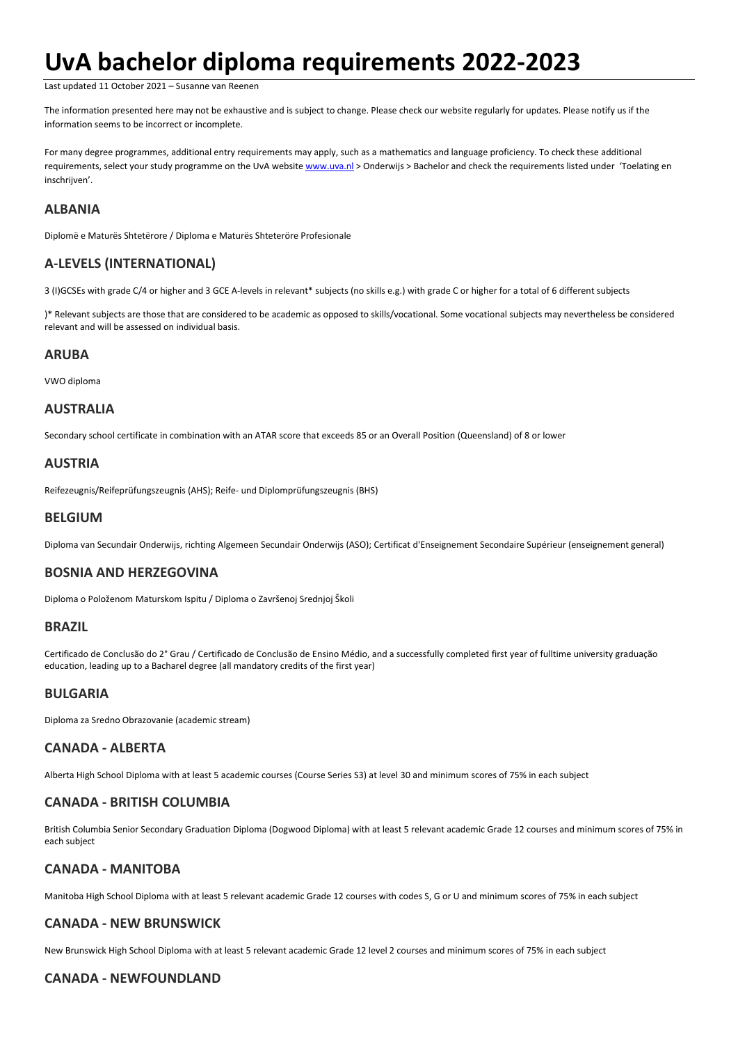# **UvA bachelor diploma requirements 2022-2023**

Last updated 11 October 2021 – Susanne van Reenen

The information presented here may not be exhaustive and is subject to change. Please check our website regularly for updates. Please notify us if the information seems to be incorrect or incomplete.

For many degree programmes, additional entry requirements may apply, such as a mathematics and language proficiency. To check these additional requirements, select your [study programme](https://www.uva.nl/en/education/bachelor-s/bachelor-s-programmes/bachelor-s-programmes.html) on the UvA website [www.uva.nl](http://www.uva.nl/) > Onderwijs > Bachelor and check the requirements listed under 'Toelating en inschrijven'.

# **ALBANIA**

Diplomë e Maturës Shtetërore / Diploma e Maturës Shteteröre Profesionale

# **A-LEVELS (INTERNATIONAL)**

3 (I)GCSEs with grade C/4 or higher and 3 GCE A-levels in relevant\* subjects (no skills e.g.) with grade C or higher for a total of 6 different subjects

)\* Relevant subjects are those that are considered to be academic as opposed to skills/vocational. Some vocational subjects may nevertheless be considered relevant and will be assessed on individual basis.

## **ARUBA**

VWO diploma

# **AUSTRALIA**

Secondary school certificate in combination with an ATAR score that exceeds 85 or an Overall Position (Queensland) of 8 or lower

# **AUSTRIA**

Reifezeugnis/Reifeprüfungszeugnis (AHS); Reife- und Diplomprüfungszeugnis (BHS)

#### **BELGIUM**

Diploma van Secundair Onderwijs, richting Algemeen Secundair Onderwijs (ASO); Certificat d'Enseignement Secondaire Supérieur (enseignement general)

# **BOSNIA AND HERZEGOVINA**

Diploma o Položenom Maturskom Ispitu / Diploma o Završenoj Srednjoj Školi

#### **BRAZIL**

Certificado de Conclusão do 2° Grau / Certificado de Conclusão de Ensino Médio, and a successfully completed first year of fulltime university graduação education, leading up to a Bacharel degree (all mandatory credits of the first year)

#### **BULGARIA**

Diploma za Sredno Obrazovanie (academic stream)

# **CANADA - ALBERTA**

Alberta High School Diploma with at least 5 academic courses (Course Series S3) at level 30 and minimum scores of 75% in each subject

# **CANADA - BRITISH COLUMBIA**

British Columbia Senior Secondary Graduation Diploma (Dogwood Diploma) with at least 5 relevant academic Grade 12 courses and minimum scores of 75% in each subject

# **CANADA - MANITOBA**

Manitoba High School Diploma with at least 5 relevant academic Grade 12 courses with codes S, G or U and minimum scores of 75% in each subject

# **CANADA - NEW BRUNSWICK**

New Brunswick High School Diploma with at least 5 relevant academic Grade 12 level 2 courses and minimum scores of 75% in each subject

# **CANADA - NEWFOUNDLAND**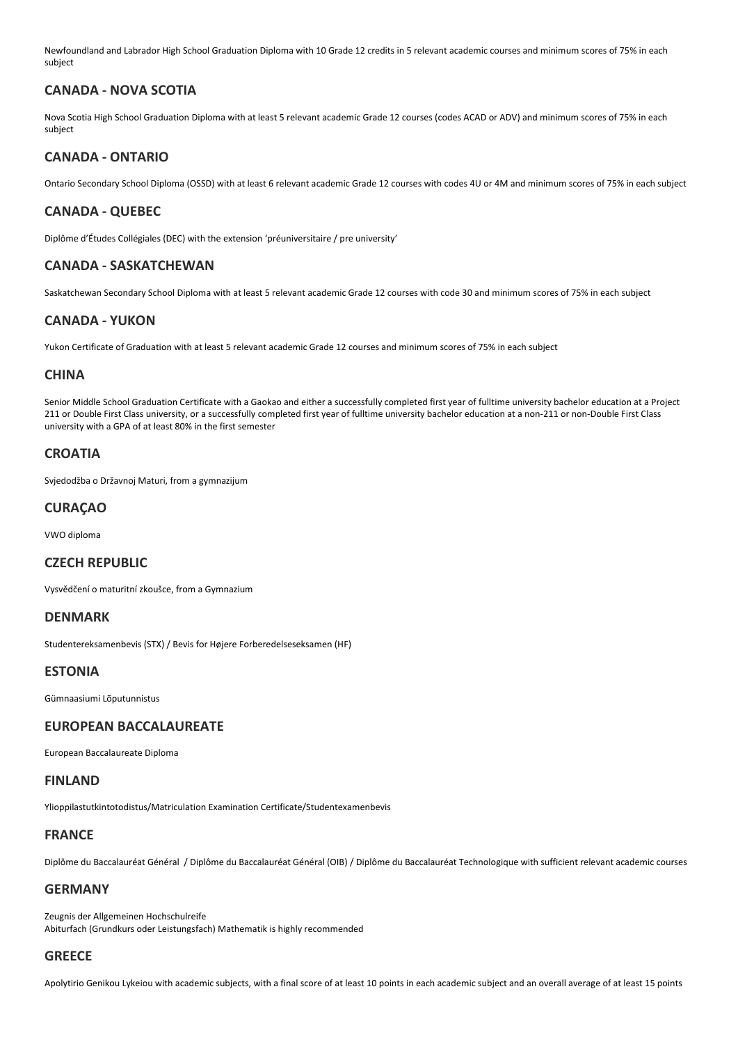Newfoundland and Labrador High School Graduation Diploma with 10 Grade 12 credits in 5 relevant academic courses and minimum scores of 75% in each subject

# **CANADA - NOVA SCOTIA**

Nova Scotia High School Graduation Diploma with at least 5 relevant academic Grade 12 courses (codes ACAD or ADV) and minimum scores of 75% in each subject

## **CANADA - ONTARIO**

Ontario Secondary School Diploma (OSSD) with at least 6 relevant academic Grade 12 courses with codes 4U or 4M and minimum scores of 75% in each subject

## **CANADA - QUEBEC**

Diplôme d'Études Collégiales (DEC) with the extension 'préuniversitaire / pre university'

## **CANADA - SASKATCHEWAN**

Saskatchewan Secondary School Diploma with at least 5 relevant academic Grade 12 courses with code 30 and minimum scores of 75% in each subject

#### **CANADA - YUKON**

Yukon Certificate of Graduation with at least 5 relevant academic Grade 12 courses and minimum scores of 75% in each subject

## **CHINA**

Senior Middle School Graduation Certificate with a Gaokao and either a successfully completed first year of fulltime university bachelor education at a Project 211 or Double First Class university, or a successfully completed first year of fulltime university bachelor education at a non-211 or non-Double First Class university with a GPA of at least 80% in the first semester

## **CROATIA**

Svjedodžba o Državnoj Maturi, from a gymnazijum

## **CURAÇAO**

VWO diploma

#### **CZECH REPUBLIC**

Vysvědčení o maturitní zkoušce, from a Gymnazium

#### **DENMARK**

Studentereksamenbevis (STX) / Bevis for Højere Forberedelseseksamen (HF)

#### **ESTONIA**

Gümnaasiumi Lõputunnistus

#### **EUROPEAN BACCALAUREATE**

European Baccalaureate Diploma

#### **FINLAND**

Ylioppilastutkintotodistus/Matriculation Examination Certificate/Studentexamenbevis

#### **FRANCE**

Diplôme du Baccalauréat Général / Diplôme du Baccalauréat Général (OIB) / Diplôme du Baccalauréat Technologique with sufficient relevant academic courses

#### **GERMANY**

Zeugnis der Allgemeinen Hochschulreife Abiturfach (Grundkurs oder Leistungsfach) Mathematik is highly recommended

# **GREECE**

Apolytirio Genikou Lykeiou with academic subjects, with a final score of at least 10 points in each academic subject and an overall average of at least 15 points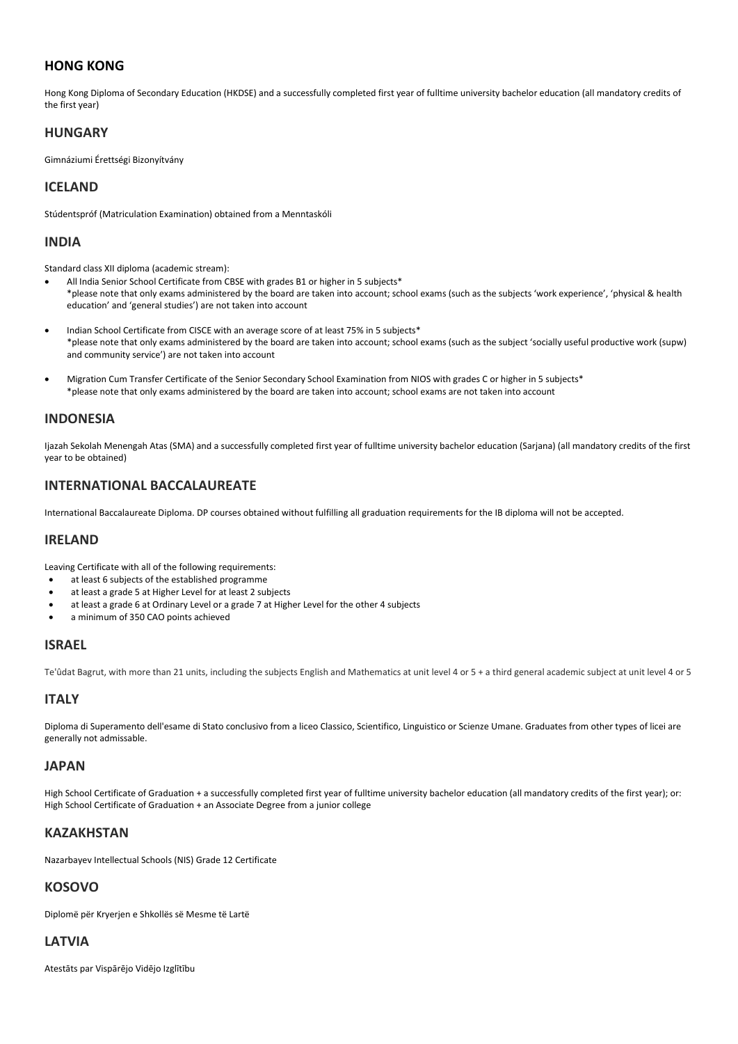# **HONG KONG**

Hong Kong Diploma of Secondary Education (HKDSE) and a successfully completed first year of fulltime university bachelor education (all mandatory credits of the first year)

## **HUNGARY**

Gimnáziumi Érettségi Bizonyítvány

# **ICELAND**

Stúdentspróf (Matriculation Examination) obtained from a Menntaskóli

#### **INDIA**

Standard class XII diploma (academic stream):

- All India Senior School Certificate from CBSE with grades B1 or higher in 5 subjects\* \*please note that only exams administered by the board are taken into account; school exams (such as the subjects 'work experience', 'physical & health education' and 'general studies') are not taken into account
- Indian School Certificate from CISCE with an average score of at least 75% in 5 subjects\* \*please note that only exams administered by the board are taken into account; school exams (such as the subject 'socially useful productive work (supw) and community service') are not taken into account
- Migration Cum Transfer Certificate of the Senior Secondary School Examination from NIOS with grades C or higher in 5 subjects\* \*please note that only exams administered by the board are taken into account; school exams are not taken into account

#### **INDONESIA**

Ijazah Sekolah Menengah Atas (SMA) and a successfully completed first year of fulltime university bachelor education (Sarjana) (all mandatory credits of the first year to be obtained)

# **INTERNATIONAL BACCALAUREATE**

International Baccalaureate Diploma. DP courses obtained without fulfilling all graduation requirements for the IB diploma will not be accepted.

## **IRELAND**

Leaving Certificate with all of the following requirements:

- at least 6 subjects of the established programme
- at least a grade 5 at Higher Level for at least 2 subjects
- at least a grade 6 at Ordinary Level or a grade 7 at Higher Level for the other 4 subjects
- a minimum of 350 CAO points achieved

#### **ISRAEL**

Te'ûdat Bagrut, with more than 21 units, including the subjects English and Mathematics at unit level 4 or 5 + a third general academic subject at unit level 4 or 5

# **ITALY**

Diploma di Superamento dell'esame di Stato conclusivo from a liceo Classico, Scientifico, Linguistico or Scienze Umane. Graduates from other types of licei are generally not admissable.

#### **JAPAN**

High School Certificate of Graduation + a successfully completed first year of fulltime university bachelor education (all mandatory credits of the first year); or: High School Certificate of Graduation + an Associate Degree from a junior college

#### **KAZAKHSTAN**

Nazarbayev Intellectual Schools (NIS) Grade 12 Certificate

#### **KOSOVO**

Diplomë për Kryerjen e Shkollës së Mesme të Lartë

# **LATVIA**

Atestāts par Vispārējo Vidējo Izglītību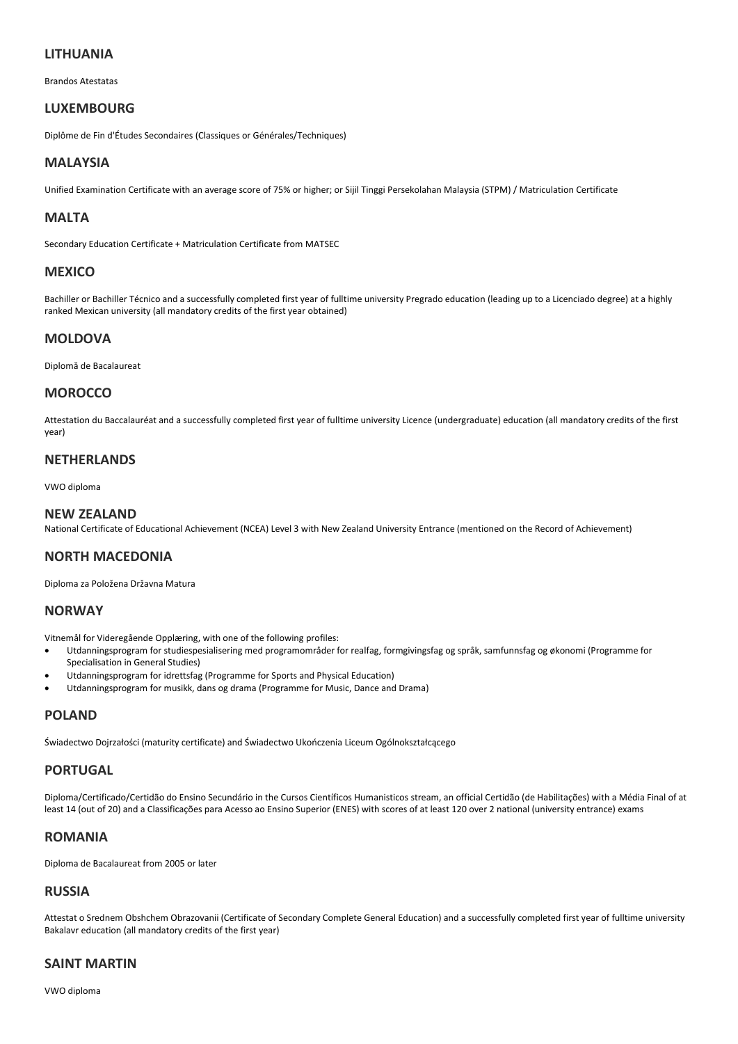## **LITHUANIA**

Brandos Atestatas

#### **LUXEMBOURG**

Diplôme de Fin d'Études Secondaires (Classiques or Générales/Techniques)

## **MALAYSIA**

Unified Examination Certificate with an average score of 75% or higher; or Sijil Tinggi Persekolahan Malaysia (STPM) / Matriculation Certificate

## **MALTA**

Secondary Education Certificate + Matriculation Certificate from MATSEC

#### **MEXICO**

Bachiller or Bachiller Técnico and a successfully completed first year of fulltime university Pregrado education (leading up to a Licenciado degree) at a highly ranked Mexican university (all mandatory credits of the first year obtained)

# **MOLDOVA**

Diplomă de Bacalaureat

#### **MOROCCO**

Attestation du Baccalauréat and a successfully completed first year of fulltime university Licence (undergraduate) education (all mandatory credits of the first year)

#### **NETHERLANDS**

VWO diploma

#### **NEW ZEALAND**

National Certificate of Educational Achievement (NCEA) Level 3 with New Zealand University Entrance (mentioned on the Record of Achievement)

#### **NORTH MACEDONIA**

Diploma za Položena Državna Matura

#### **NORWAY**

Vitnemål for Videregående Opplæring, with one of the following profiles:

- Utdanningsprogram for studiespesialisering med programområder for realfag, formgivingsfag og språk, samfunnsfag og økonomi (Programme for Specialisation in General Studies)
- Utdanningsprogram for idrettsfag (Programme for Sports and Physical Education)
- Utdanningsprogram for musikk, dans og drama (Programme for Music, Dance and Drama)

# **POLAND**

Świadectwo Dojrzałości (maturity certificate) and Świadectwo Ukończenia Liceum Ogólnokształcącego

#### **PORTUGAL**

Diploma/Certificado/Certidão do Ensino Secundário in the Cursos Científicos Humanisticos stream, an official Certidão (de Habilitações) with a Média Final of at least 14 (out of 20) and a Classificações para Acesso ao Ensino Superior (ENES) with scores of at least 120 over 2 national (university entrance) exams

## **ROMANIA**

Diploma de Bacalaureat from 2005 or later

## **RUSSIA**

Attestat o Srednem Obshchem Obrazovanii (Certificate of Secondary Complete General Education) and a successfully completed first year of fulltime university Bakalavr education (all mandatory credits of the first year)

#### **SAINT MARTIN**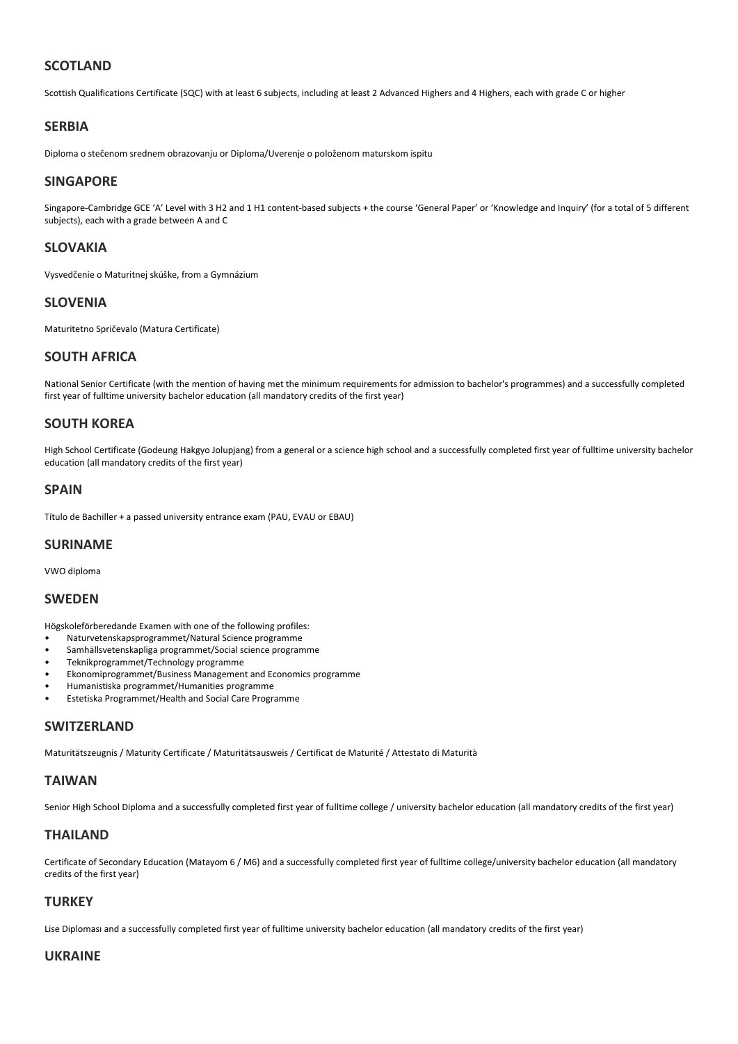# **SCOTLAND**

Scottish Qualifications Certificate (SQC) with at least 6 subjects, including at least 2 Advanced Highers and 4 Highers, each with grade C or higher

#### **SERBIA**

Diploma o stečenom srednem obrazovanju or Diploma/Uverenje o položenom maturskom ispitu

#### **SINGAPORE**

Singapore-Cambridge GCE 'A' Level with 3 H2 and 1 H1 content-based subjects + the course 'General Paper' or 'Knowledge and Inquiry' (for a total of 5 different subjects), each with a grade between A and C

#### **SLOVAKIA**

Vysvedčenie o Maturitnej skúške, from a Gymnázium

#### **SLOVENIA**

Maturitetno Spričevalo (Matura Certificate)

#### **SOUTH AFRICA**

National Senior Certificate (with the mention of having met the minimum requirements for admission to bachelor's programmes) and a successfully completed first year of fulltime university bachelor education (all mandatory credits of the first year)

## **SOUTH KOREA**

High School Certificate (Godeung Hakgyo Jolupjang) from a general or a science high school and a successfully completed first year of fulltime university bachelor education (all mandatory credits of the first year)

#### **SPAIN**

Título de Bachiller + a passed university entrance exam (PAU, EVAU or EBAU)

#### **SURINAME**

VWO diploma

#### **SWEDEN**

Högskoleförberedande Examen with one of the following profiles:

- Naturvetenskapsprogrammet/Natural Science programme
- Samhällsvetenskapliga programmet/Social science programme
- Teknikprogrammet/Technology programme
- Ekonomiprogrammet/Business Management and Economics programme
- Humanistiska programmet/Humanities programme
- Estetiska Programmet/Health and Social Care Programme

#### **SWITZERLAND**

Maturitätszeugnis / Maturity Certificate / Maturitätsausweis / Certificat de Maturité / Attestato di Maturità

#### **TAIWAN**

Senior High School Diploma and a successfully completed first year of fulltime college / university bachelor education (all mandatory credits of the first year)

#### **THAILAND**

Certificate of Secondary Education (Matayom 6 / M6) and a successfully completed first year of fulltime college/university bachelor education (all mandatory credits of the first year)

## **TURKEY**

Lise Diploması and a successfully completed first year of fulltime university bachelor education (all mandatory credits of the first year)

#### **UKRAINE**